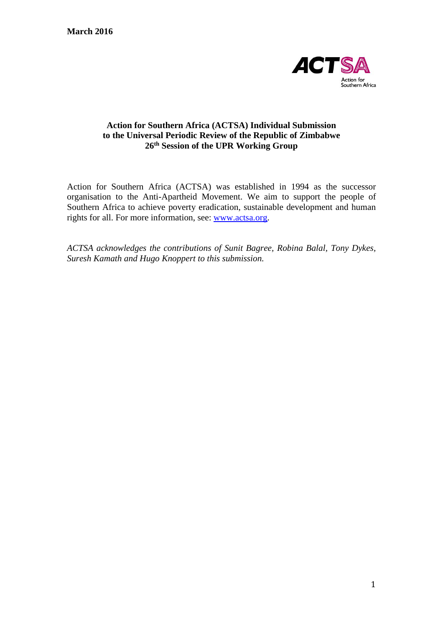

## **Action for Southern Africa (ACTSA) Individual Submission to the Universal Periodic Review of the Republic of Zimbabwe 26th Session of the UPR Working Group**

Action for Southern Africa (ACTSA) was established in 1994 as the successor organisation to the Anti-Apartheid Movement. We aim to support the people of Southern Africa to achieve poverty eradication, sustainable development and human rights for all. For more information, see: [www.actsa.org.](http://www.actsa.org/)

*ACTSA acknowledges the contributions of Sunit Bagree, Robina Balal, Tony Dykes, Suresh Kamath and Hugo Knoppert to this submission.*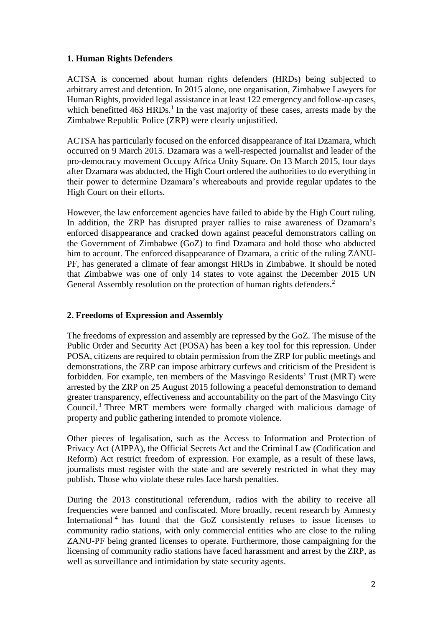## **1. Human Rights Defenders**

ACTSA is concerned about human rights defenders (HRDs) being subjected to arbitrary arrest and detention. In 2015 alone, one organisation, Zimbabwe Lawyers for Human Rights, provided legal assistance in at least 122 emergency and follow-up cases, which benefitted  $463$  HRDs.<sup>1</sup> In the vast majority of these cases, arrests made by the Zimbabwe Republic Police (ZRP) were clearly unjustified.

ACTSA has particularly focused on the enforced disappearance of Itai Dzamara, which occurred on 9 March 2015. Dzamara was a well-respected journalist and leader of the pro-democracy movement Occupy Africa Unity Square. On 13 March 2015, four days after Dzamara was abducted, the High Court ordered the authorities to do everything in their power to determine Dzamara's whereabouts and provide regular updates to the High Court on their efforts.

However, the law enforcement agencies have failed to abide by the High Court ruling. In addition, the ZRP has disrupted prayer rallies to raise awareness of Dzamara's enforced disappearance and cracked down against peaceful demonstrators calling on the Government of Zimbabwe (GoZ) to find Dzamara and hold those who abducted him to account. The enforced disappearance of Dzamara, a critic of the ruling ZANU-PF, has generated a climate of fear amongst HRDs in Zimbabwe. It should be noted that Zimbabwe was one of only 14 states to vote against the December 2015 UN General Assembly resolution on the protection of human rights defenders.<sup>2</sup>

## **2. Freedoms of Expression and Assembly**

The freedoms of expression and assembly are repressed by the GoZ. The misuse of the Public Order and Security Act (POSA) has been a key tool for this repression. Under POSA, citizens are required to obtain permission from the ZRP for public meetings and demonstrations, the ZRP can impose arbitrary curfews and criticism of the President is forbidden. For example, ten members of the Masvingo Residents' Trust (MRT) were arrested by the ZRP on 25 August 2015 following a peaceful demonstration to demand greater transparency, effectiveness and accountability on the part of the Masvingo City Council. <sup>3</sup> Three MRT members were formally charged with malicious damage of property and public gathering intended to promote violence.

Other pieces of legalisation, such as the Access to Information and Protection of Privacy Act (AIPPA), the Official Secrets Act and the Criminal Law (Codification and Reform) Act restrict freedom of expression. For example, as a result of these laws, journalists must register with the state and are severely restricted in what they may publish. Those who violate these rules face harsh penalties.

During the 2013 constitutional referendum, radios with the ability to receive all frequencies were banned and confiscated. More broadly, recent research by Amnesty International<sup>4</sup> has found that the GoZ consistently refuses to issue licenses to community radio stations, with only commercial entities who are close to the ruling ZANU-PF being granted licenses to operate. Furthermore, those campaigning for the licensing of community radio stations have faced harassment and arrest by the ZRP, as well as surveillance and intimidation by state security agents.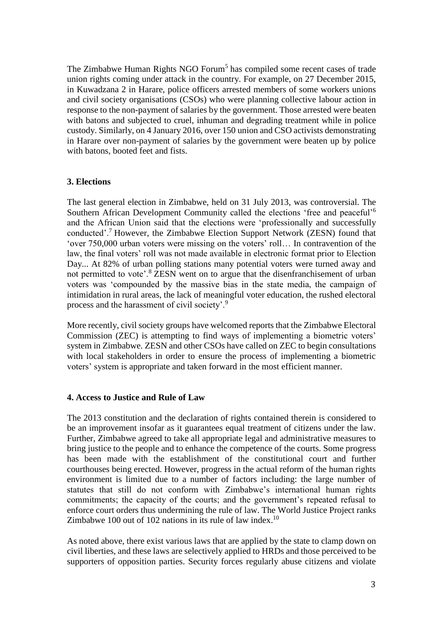The Zimbabwe Human Rights NGO Forum<sup>5</sup> has compiled some recent cases of trade union rights coming under attack in the country. For example, on 27 December 2015, in Kuwadzana 2 in Harare, police officers arrested members of some workers unions and civil society organisations (CSOs) who were planning collective labour action in response to the non-payment of salaries by the government. Those arrested were beaten with batons and subjected to cruel, inhuman and degrading treatment while in police custody. Similarly, on 4 January 2016, over 150 union and CSO activists demonstrating in Harare over non-payment of salaries by the government were beaten up by police with batons, booted feet and fists.

### **3. Elections**

The last general election in Zimbabwe, held on 31 July 2013, was controversial. The Southern African Development Community called the elections 'free and peaceful'<sup>6</sup> and the African Union said that the elections were 'professionally and successfully conducted'.<sup>7</sup> However, the Zimbabwe Election Support Network (ZESN) found that 'over 750,000 urban voters were missing on the voters' roll… In contravention of the law, the final voters' roll was not made available in electronic format prior to Election Day... At 82% of urban polling stations many potential voters were turned away and not permitted to vote'.<sup>8</sup> ZESN went on to argue that the disenfranchisement of urban voters was 'compounded by the massive bias in the state media, the campaign of intimidation in rural areas, the lack of meaningful voter education, the rushed electoral process and the harassment of civil society'.<sup>9</sup>

More recently, civil society groups have welcomed reports that the Zimbabwe Electoral Commission (ZEC) is attempting to find ways of implementing a biometric voters' system in Zimbabwe. ZESN and other CSOs have called on ZEC to begin consultations with local stakeholders in order to ensure the process of implementing a biometric voters' system is appropriate and taken forward in the most efficient manner.

#### **4. Access to Justice and Rule of Law**

The 2013 constitution and the declaration of rights contained therein is considered to be an improvement insofar as it guarantees equal treatment of citizens under the law. Further, Zimbabwe agreed to take all appropriate legal and administrative measures to bring justice to the people and to enhance the competence of the courts. Some progress has been made with the establishment of the constitutional court and further courthouses being erected. However, progress in the actual reform of the human rights environment is limited due to a number of factors including: the large number of statutes that still do not conform with Zimbabwe's international human rights commitments; the capacity of the courts; and the government's repeated refusal to enforce court orders thus undermining the rule of law. The World Justice Project ranks Zimbabwe 100 out of 102 nations in its rule of law index.<sup>10</sup>

As noted above, there exist various laws that are applied by the state to clamp down on civil liberties, and these laws are selectively applied to HRDs and those perceived to be supporters of opposition parties. Security forces regularly abuse citizens and violate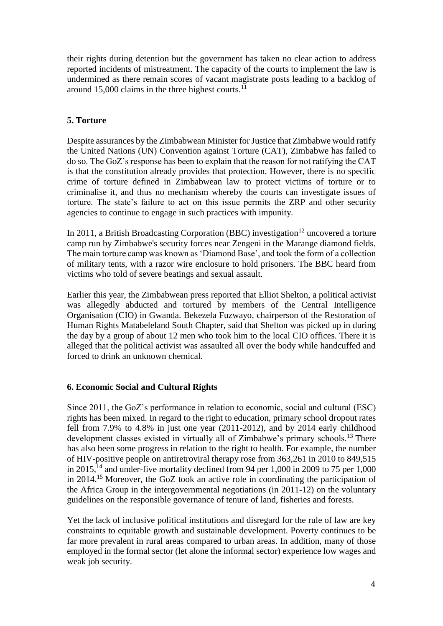their rights during detention but the government has taken no clear action to address reported incidents of mistreatment. The capacity of the courts to implement the law is undermined as there remain scores of vacant magistrate posts leading to a backlog of around 15,000 claims in the three highest courts. $^{11}$ 

## **5. Torture**

Despite assurances by the Zimbabwean Minister for Justice that Zimbabwe would ratify the United Nations (UN) Convention against Torture (CAT), Zimbabwe has failed to do so. The GoZ's response has been to explain that the reason for not ratifying the CAT is that the constitution already provides that protection. However, there is no specific crime of torture defined in Zimbabwean law to protect victims of torture or to criminalise it, and thus no mechanism whereby the courts can investigate issues of torture. The state's failure to act on this issue permits the ZRP and other security agencies to continue to engage in such practices with impunity.

In 2011, a British Broadcasting Corporation (BBC) investigation<sup>12</sup> uncovered a torture camp run by Zimbabwe's security forces near Zengeni in the Marange diamond fields. The main torture camp was known as 'Diamond Base', and took the form of a collection of military tents, with a razor wire enclosure to hold prisoners. The BBC heard from victims who told of severe beatings and sexual assault.

Earlier this year, the Zimbabwean press reported that Elliot Shelton, a political activist was allegedly abducted and tortured by members of the Central Intelligence Organisation (CIO) in Gwanda. Bekezela Fuzwayo, chairperson of the Restoration of Human Rights Matabeleland South Chapter, said that Shelton was picked up in during the day by a group of about 12 men who took him to the local CIO offices. There it is alleged that the political activist was assaulted all over the body while handcuffed and forced to drink an unknown chemical.

## **6. Economic Social and Cultural Rights**

Since 2011, the GoZ's performance in relation to economic, social and cultural (ESC) rights has been mixed. In regard to the right to education, primary school dropout rates fell from 7.9% to 4.8% in just one year (2011-2012), and by 2014 early childhood development classes existed in virtually all of Zimbabwe's primary schools.<sup>13</sup> There has also been some progress in relation to the right to health. For example, the number of HIV-positive people on antiretroviral therapy rose from 363,261 in 2010 to 849,515 in 2015,<sup>14</sup> and under-five mortality declined from 94 per 1,000 in 2009 to 75 per 1,000 in 2014.<sup>15</sup> Moreover, the GoZ took an active role in coordinating the participation of the Africa Group in the intergovernmental negotiations (in 2011-12) on the voluntary guidelines on the responsible governance of tenure of land, fisheries and forests.

Yet the lack of inclusive political institutions and disregard for the rule of law are key constraints to equitable growth and sustainable development. Poverty continues to be far more prevalent in rural areas compared to urban areas. In addition, many of those employed in the formal sector (let alone the informal sector) experience low wages and weak job security.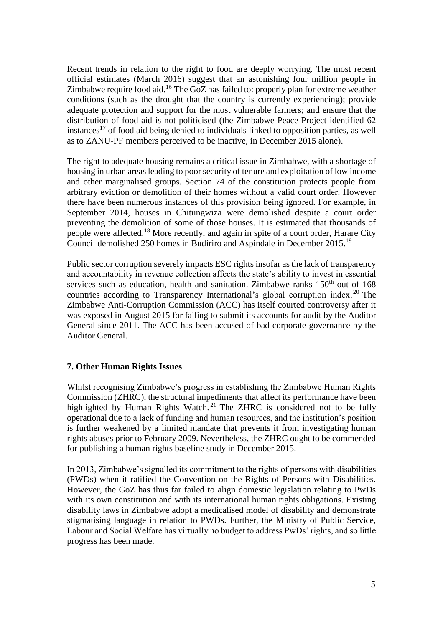Recent trends in relation to the right to food are deeply worrying. The most recent official estimates (March 2016) suggest that an astonishing four million people in Zimbabwe require food aid.<sup>16</sup> The GoZ has failed to: properly plan for extreme weather conditions (such as the drought that the country is currently experiencing); provide adequate protection and support for the most vulnerable farmers; and ensure that the distribution of food aid is not politicised (the Zimbabwe Peace Project identified 62 instances<sup>17</sup> of food aid being denied to individuals linked to opposition parties, as well as to ZANU-PF members perceived to be inactive, in December 2015 alone).

The right to adequate housing remains a critical issue in Zimbabwe, with a shortage of housing in urban areas leading to poor security of tenure and exploitation of low income and other marginalised groups. Section 74 of the constitution protects people from arbitrary eviction or demolition of their homes without a valid court order. However there have been numerous instances of this provision being ignored. For example, in September 2014, houses in Chitungwiza were demolished despite a court order preventing the demolition of some of those houses. It is estimated that thousands of people were affected.<sup>18</sup> More recently, and again in spite of a court order, Harare City Council demolished 250 homes in Budiriro and Aspindale in December 2015.<sup>19</sup>

Public sector corruption severely impacts ESC rights insofar as the lack of transparency and accountability in revenue collection affects the state's ability to invest in essential services such as education, health and sanitation. Zimbabwe ranks  $150<sup>th</sup>$  out of  $168$ countries according to Transparency International's global corruption index. <sup>20</sup> The Zimbabwe Anti-Corruption Commission (ACC) has itself courted controversy after it was exposed in August 2015 for failing to submit its accounts for audit by the Auditor General since 2011. The ACC has been accused of bad corporate governance by the Auditor General.

## **7. Other Human Rights Issues**

Whilst recognising Zimbabwe's progress in establishing the Zimbabwe Human Rights Commission (ZHRC), the structural impediments that affect its performance have been highlighted by Human Rights Watch.<sup>21</sup> The ZHRC is considered not to be fully operational due to a lack of funding and human resources, and the institution's position is further weakened by a limited mandate that prevents it from investigating human rights abuses prior to February 2009. Nevertheless, the ZHRC ought to be commended for publishing a human rights baseline study in December 2015.

In 2013, Zimbabwe's signalled its commitment to the rights of persons with disabilities (PWDs) when it ratified the Convention on the Rights of Persons with Disabilities. However, the GoZ has thus far failed to align domestic legislation relating to PwDs with its own constitution and with its international human rights obligations. Existing disability laws in Zimbabwe adopt a medicalised model of disability and demonstrate stigmatising language in relation to PWDs. Further, the Ministry of Public Service, Labour and Social Welfare has virtually no budget to address PwDs' rights, and so little progress has been made.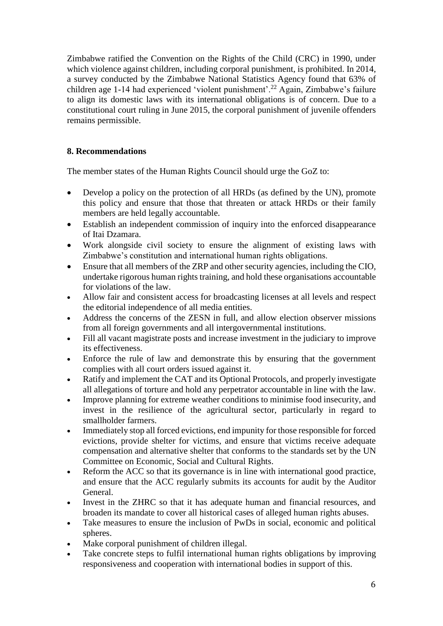Zimbabwe ratified the Convention on the Rights of the Child (CRC) in 1990, under which violence against children, including corporal punishment, is prohibited. In 2014, a survey conducted by the Zimbabwe National Statistics Agency found that 63% of children age 1-14 had experienced 'violent punishment'.<sup>22</sup> Again, Zimbabwe's failure to align its domestic laws with its international obligations is of concern. Due to a constitutional court ruling in June 2015, the corporal punishment of juvenile offenders remains permissible.

# **8. Recommendations**

The member states of the Human Rights Council should urge the GoZ to:

- Develop a policy on the protection of all HRDs (as defined by the UN), promote this policy and ensure that those that threaten or attack HRDs or their family members are held legally accountable.
- Establish an independent commission of inquiry into the enforced disappearance of Itai Dzamara.
- Work alongside civil society to ensure the alignment of existing laws with Zimbabwe's constitution and international human rights obligations.
- Ensure that all members of the ZRP and other security agencies, including the CIO, undertake rigorous human rights training, and hold these organisations accountable for violations of the law.
- Allow fair and consistent access for broadcasting licenses at all levels and respect the editorial independence of all media entities.
- Address the concerns of the ZESN in full, and allow election observer missions from all foreign governments and all intergovernmental institutions.
- Fill all vacant magistrate posts and increase investment in the judiciary to improve its effectiveness.
- Enforce the rule of law and demonstrate this by ensuring that the government complies with all court orders issued against it.
- Ratify and implement the CAT and its Optional Protocols, and properly investigate all allegations of torture and hold any perpetrator accountable in line with the law.
- Improve planning for extreme weather conditions to minimise food insecurity, and invest in the resilience of the agricultural sector, particularly in regard to smallholder farmers.
- Immediately stop all forced evictions, end impunity for those responsible for forced evictions, provide shelter for victims, and ensure that victims receive adequate compensation and alternative shelter that conforms to the standards set by the UN Committee on Economic, Social and Cultural Rights.
- Reform the ACC so that its governance is in line with international good practice, and ensure that the ACC regularly submits its accounts for audit by the Auditor General.
- Invest in the ZHRC so that it has adequate human and financial resources, and broaden its mandate to cover all historical cases of alleged human rights abuses.
- Take measures to ensure the inclusion of PwDs in social, economic and political spheres.
- Make corporal punishment of children illegal.
- Take concrete steps to fulfil international human rights obligations by improving responsiveness and cooperation with international bodies in support of this.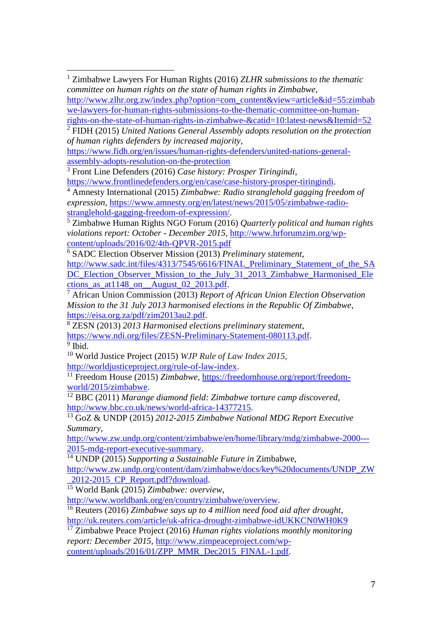<sup>1</sup> Zimbabwe Lawyers For Human Rights (2016) *ZLHR submissions to the thematic committee on human rights on the state of human rights in Zimbabwe*, [http://www.zlhr.org.zw/index.php?option=com\\_content&view=article&id=55:zimbab](http://www.zlhr.org.zw/index.php?option=com_content&view=article&id=55:zimbabwe-lawyers-for-human-rights-submissions-to-the-thematic-committee-on-human-rights-on-the-state-of-human-rights-in-zimbabwe-&catid=10:latest-news&Itemid=52) [we-lawyers-for-human-rights-submissions-to-the-thematic-committee-on-human-](http://www.zlhr.org.zw/index.php?option=com_content&view=article&id=55:zimbabwe-lawyers-for-human-rights-submissions-to-the-thematic-committee-on-human-rights-on-the-state-of-human-rights-in-zimbabwe-&catid=10:latest-news&Itemid=52) $\overline{a}$ 

[rights-on-the-state-of-human-rights-in-zimbabwe-&catid=10:latest-news&Itemid=52](http://www.zlhr.org.zw/index.php?option=com_content&view=article&id=55:zimbabwe-lawyers-for-human-rights-submissions-to-the-thematic-committee-on-human-rights-on-the-state-of-human-rights-in-zimbabwe-&catid=10:latest-news&Itemid=52)

<sup>2</sup> FIDH (2015) *United Nations General Assembly adopts resolution on the protection of human rights defenders by increased majority*,

[https://www.fidh.org/en/issues/human-rights-defenders/united-nations-general](https://www.fidh.org/en/issues/human-rights-defenders/united-nations-general-assembly-adopts-resolution-on-the-protection)[assembly-adopts-resolution-on-the-protection](https://www.fidh.org/en/issues/human-rights-defenders/united-nations-general-assembly-adopts-resolution-on-the-protection) 

<sup>3</sup> Front Line Defenders (2016) *Case history: Prosper Tiringindi*,

[https://www.frontlinedefenders.org/en/case/case-history-prosper-tiringindi.](https://www.frontlinedefenders.org/en/case/case-history-prosper-tiringindi)

<sup>4</sup> Amnesty International (2015) *Zimbabwe: Radio stranglehold gagging freedom of expression*, [https://www.amnesty.org/en/latest/news/2015/05/zimbabwe-radio](https://www.amnesty.org/en/latest/news/2015/05/zimbabwe-radio-stranglehold-gagging-freedom-of-expression/)[stranglehold-gagging-freedom-of-expression/.](https://www.amnesty.org/en/latest/news/2015/05/zimbabwe-radio-stranglehold-gagging-freedom-of-expression/)

<sup>5</sup> Zimbabwe Human Rights NGO Forum (2016) *Quarterly political and human rights violations report: October - December 2015*, [http://www.hrforumzim.org/wp](http://www.hrforumzim.org/wp-content/uploads/2016/02/4th-QPVR-2015.pdf)[content/uploads/2016/02/4th-QPVR-2015.pdf](http://www.hrforumzim.org/wp-content/uploads/2016/02/4th-QPVR-2015.pdf)

<sup>6</sup> SADC Election Observer Mission (2013) *Preliminary statement*, [http://www.sadc.int/files/4313/7545/6616/FINAL\\_Preliminary\\_Statement\\_of\\_the\\_SA](http://www.sadc.int/files/4313/7545/6616/FINAL_Preliminary_Statement_of_the_SADC_Election_Observer_Mission_to_the_July_31_2013_Zimbabwe_Harmonised_Elections_as_at1148_on__August_02_2013.pdf) [DC\\_Election\\_Observer\\_Mission\\_to\\_the\\_July\\_31\\_2013\\_Zimbabwe\\_Harmonised\\_Ele](http://www.sadc.int/files/4313/7545/6616/FINAL_Preliminary_Statement_of_the_SADC_Election_Observer_Mission_to_the_July_31_2013_Zimbabwe_Harmonised_Elections_as_at1148_on__August_02_2013.pdf) [ctions\\_as\\_at1148\\_on\\_\\_August\\_02\\_2013.pdf.](http://www.sadc.int/files/4313/7545/6616/FINAL_Preliminary_Statement_of_the_SADC_Election_Observer_Mission_to_the_July_31_2013_Zimbabwe_Harmonised_Elections_as_at1148_on__August_02_2013.pdf)

<sup>7</sup> African Union Commission (2013) *Report of African Union Election Observation Mission to the 31 July 2013 harmonised elections in the Republic Of Zimbabwe*, [https://eisa.org.za/pdf/zim2013au2.pdf.](https://eisa.org.za/pdf/zim2013au2.pdf)

<sup>8</sup> ZESN (2013) *2013 Harmonised elections preliminary statement*, [https://www.ndi.org/files/ZESN-Preliminary-Statement-080113.pdf.](https://www.ndi.org/files/ZESN-Preliminary-Statement-080113.pdf) <sup>9</sup> Ibid.

<sup>10</sup> World Justice Project (2015) *WJP Rule of Law Index 2015*, [http://worldjusticeproject.org/rule-of-law-index.](http://worldjusticeproject.org/rule-of-law-index)

<sup>11</sup> Freedom House (2015) *Zimbabwe,* [https://freedomhouse.org/report/freedom](https://freedomhouse.org/report/freedom-world/2015/zimbabwe)[world/2015/zimbabwe.](https://freedomhouse.org/report/freedom-world/2015/zimbabwe)

<sup>12</sup> BBC (2011) *Marange diamond field: Zimbabwe torture camp discovered*, [http://www.bbc.co.uk/news/world-africa-14377215.](http://www.bbc.co.uk/news/world-africa-14377215)

<sup>13</sup> GoZ & UNDP (2015) *2012-2015 Zimbabwe National MDG Report Executive Summary*,

[http://www.zw.undp.org/content/zimbabwe/en/home/library/mdg/zimbabwe-2000---](http://www.zw.undp.org/content/zimbabwe/en/home/library/mdg/zimbabwe-2000---2015-mdg-report-executive-summary) [2015-mdg-report-executive-summary.](http://www.zw.undp.org/content/zimbabwe/en/home/library/mdg/zimbabwe-2000---2015-mdg-report-executive-summary)

<sup>14</sup> UNDP (2015) *Supporting a Sustainable Future in* Zimbabwe,

[http://www.zw.undp.org/content/dam/zimbabwe/docs/key%20documents/UNDP\\_ZW](http://www.zw.undp.org/content/dam/zimbabwe/docs/key%20documents/UNDP_ZW_2012-2015_CP_Report.pdf?download) [\\_2012-2015\\_CP\\_Report.pdf?download.](http://www.zw.undp.org/content/dam/zimbabwe/docs/key%20documents/UNDP_ZW_2012-2015_CP_Report.pdf?download)

<sup>15</sup> World Bank (2015) *Zimbabwe: overview*,

[http://www.worldbank.org/en/country/zimbabwe/overview.](http://www.worldbank.org/en/country/zimbabwe/overview)

<sup>16</sup> Reuters (2016) *Zimbabwe says up to 4 million need food aid after drought*, <http://uk.reuters.com/article/uk-africa-drought-zimbabwe-idUKKCN0WH0K9>

<sup>17</sup> Zimbabwe Peace Project (2016) *Human rights violations monthly monitoring report: December 2015*, [http://www.zimpeaceproject.com/wp-](http://www.zimpeaceproject.com/wp-content/uploads/2016/01/ZPP_MMR_Dec2015_FINAL-1.pdf)

[content/uploads/2016/01/ZPP\\_MMR\\_Dec2015\\_FINAL-1.pdf.](http://www.zimpeaceproject.com/wp-content/uploads/2016/01/ZPP_MMR_Dec2015_FINAL-1.pdf)